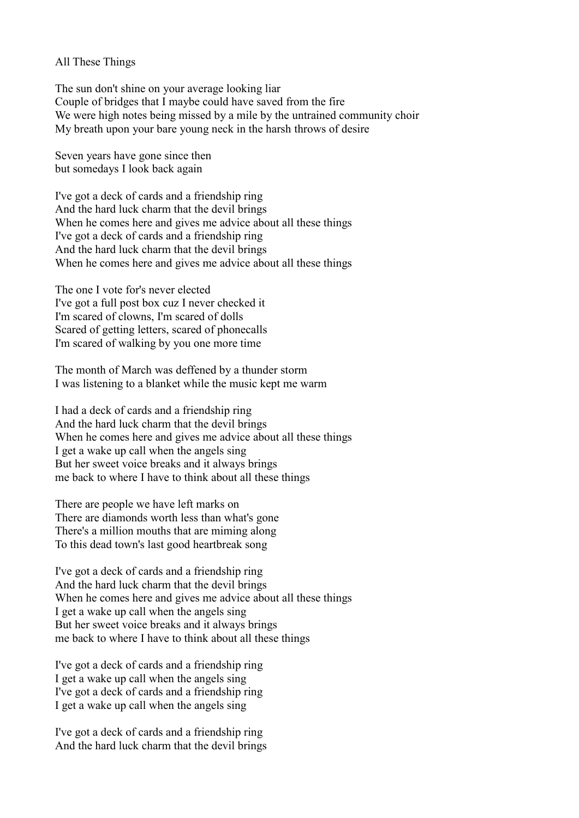All These Things

The sun don't shine on your average looking liar Couple of bridges that I maybe could have saved from the fire We were high notes being missed by a mile by the untrained community choir My breath upon your bare young neck in the harsh throws of desire

Seven years have gone since then but somedays I look back again

I've got a deck of cards and a friendship ring And the hard luck charm that the devil brings When he comes here and gives me advice about all these things I've got a deck of cards and a friendship ring And the hard luck charm that the devil brings When he comes here and gives me advice about all these things

The one I vote for's never elected I've got a full post box cuz I never checked it I'm scared of clowns, I'm scared of dolls Scared of getting letters, scared of phonecalls I'm scared of walking by you one more time

The month of March was deffened by a thunder storm I was listening to a blanket while the music kept me warm

I had a deck of cards and a friendship ring And the hard luck charm that the devil brings When he comes here and gives me advice about all these things I get a wake up call when the angels sing But her sweet voice breaks and it always brings me back to where I have to think about all these things

There are people we have left marks on There are diamonds worth less than what's gone There's a million mouths that are miming along To this dead town's last good heartbreak song

I've got a deck of cards and a friendship ring And the hard luck charm that the devil brings When he comes here and gives me advice about all these things I get a wake up call when the angels sing But her sweet voice breaks and it always brings me back to where I have to think about all these things

I've got a deck of cards and a friendship ring I get a wake up call when the angels sing I've got a deck of cards and a friendship ring I get a wake up call when the angels sing

I've got a deck of cards and a friendship ring And the hard luck charm that the devil brings